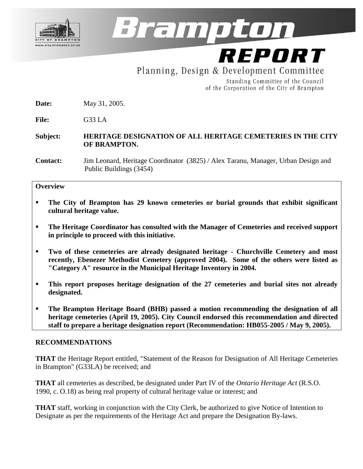

Brampton

REPORT Planning, Design & Development Committee

> Standing Committee of the Council of the Corporation of the City of Brampton

**Date:** May 31, 2005.

**File:** G33 LA

#### **Subject: HERITAGE DESIGNATION OF ALL HERITAGE CEMETERIES IN THE CITY OF BRAMPTON.**

**Contact:** Jim Leonard, Heritage Coordinator (3825) / Alex Taranu, Manager, Urban Design and Public Buildings (3454)

#### **Overview**

- **The City of Brampton has 29 known cemeteries or burial grounds that exhibit significant cultural heritage value.**
- **The Heritage Coordinator has consulted with the Manager of Cemeteries and received support in principle to proceed with this initiative.**
- **Two of these cemeteries are already designated heritage - Churchville Cemetery and most recently, Ebenezer Methodist Cemetery (approved 2004). Some of the others were listed as "Category A" resource in the Municipal Heritage Inventory in 2004.**
- **This report proposes heritage designation of the 27 cemeteries and burial sites not already designated.**
- **The Brampton Heritage Board (BHB) passed a motion recommending the designation of all heritage cemeteries (April 19, 2005). City Council endorsed this recommendation and directed staff to prepare a heritage designation report (Recommendation: HB055-2005 / May 9, 2005).**

#### **RECOMMENDATIONS**

**THAT** the Heritage Report entitled, "Statement of the Reason for Designation of All Heritage Cemeteries in Brampton" (G33LA) be received; and

**THAT** all cemeteries as described, be designated under Part IV of the *Ontario Heritage Act* (R.S.O. 1990, c. O.18) as being real property of cultural heritage value or interest; and

**THAT** staff, working in conjunction with the City Clerk, be authorized to give Notice of Intention to Designate as per the requirements of the Heritage Act and prepare the Designation By-laws.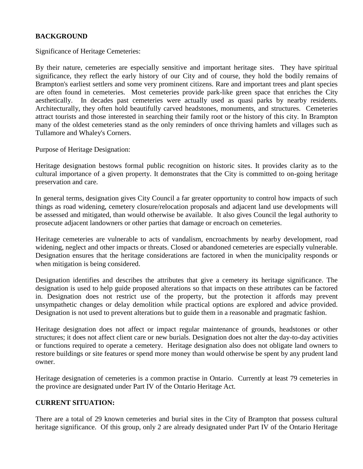### **BACKGROUND**

Significance of Heritage Cemeteries:

By their nature, cemeteries are especially sensitive and important heritage sites. They have spiritual significance, they reflect the early history of our City and of course, they hold the bodily remains of Brampton's earliest settlers and some very prominent citizens. Rare and important trees and plant species are often found in cemeteries. Most cemeteries provide park-like green space that enriches the City aesthetically. In decades past cemeteries were actually used as quasi parks by nearby residents. Architecturally, they often hold beautifully carved headstones, monuments, and structures. Cemeteries attract tourists and those interested in searching their family root or the history of this city. In Brampton many of the oldest cemeteries stand as the only reminders of once thriving hamlets and villages such as Tullamore and Whaley's Corners.

Purpose of Heritage Designation:

Heritage designation bestows formal public recognition on historic sites. It provides clarity as to the cultural importance of a given property. It demonstrates that the City is committed to on-going heritage preservation and care.

In general terms, designation gives City Council a far greater opportunity to control how impacts of such things as road widening, cemetery closure/relocation proposals and adjacent land use developments will be assessed and mitigated, than would otherwise be available. It also gives Council the legal authority to prosecute adjacent landowners or other parties that damage or encroach on cemeteries.

Heritage cemeteries are vulnerable to acts of vandalism, encroachments by nearby development, road widening, neglect and other impacts or threats. Closed or abandoned cemeteries are especially vulnerable. Designation ensures that the heritage considerations are factored in when the municipality responds or when mitigation is being considered.

Designation identifies and describes the attributes that give a cemetery its heritage significance. The designation is used to help guide proposed alterations so that impacts on these attributes can be factored in. Designation does not restrict use of the property, but the protection it affords may prevent unsympathetic changes or delay demolition while practical options are explored and advice provided. Designation is not used to prevent alterations but to guide them in a reasonable and pragmatic fashion.

Heritage designation does not affect or impact regular maintenance of grounds, headstones or other structures; it does not affect client care or new burials. Designation does not alter the day-to-day activities or functions required to operate a cemetery. Heritage designation also does not obligate land owners to restore buildings or site features or spend more money than would otherwise be spent by any prudent land owner.

Heritage designation of cemeteries is a common practise in Ontario. Currently at least 79 cemeteries in the province are designated under Part IV of the Ontario Heritage Act.

### **CURRENT SITUATION:**

There are a total of 29 known cemeteries and burial sites in the City of Brampton that possess cultural heritage significance. Of this group, only 2 are already designated under Part IV of the Ontario Heritage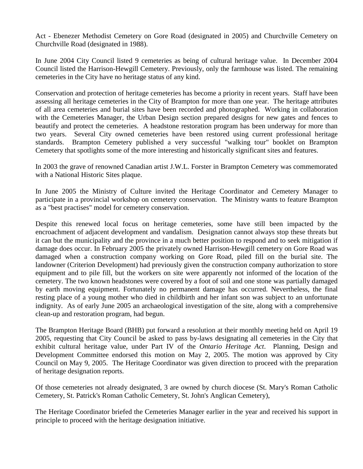Act - Ebenezer Methodist Cemetery on Gore Road (designated in 2005) and Churchville Cemetery on Churchville Road (designated in 1988).

In June 2004 City Council listed 9 cemeteries as being of cultural heritage value. In December 2004 Council listed the Harrison-Hewgill Cemetery. Previously, only the farmhouse was listed. The remaining cemeteries in the City have no heritage status of any kind.

Conservation and protection of heritage cemeteries has become a priority in recent years. Staff have been assessing all heritage cemeteries in the City of Brampton for more than one year. The heritage attributes of all area cemeteries and burial sites have been recorded and photographed. Working in collaboration with the Cemeteries Manager, the Urban Design section prepared designs for new gates and fences to beautify and protect the cemeteries. A headstone restoration program has been underway for more than two years. Several City owned cemeteries have been restored using current professional heritage standards. Brampton Cemetery published a very successful "walking tour" booklet on Brampton Cemetery that spotlights some of the more interesting and historically significant sites and features.

In 2003 the grave of renowned Canadian artist J.W.L. Forster in Brampton Cemetery was commemorated with a National Historic Sites plaque.

In June 2005 the Ministry of Culture invited the Heritage Coordinator and Cemetery Manager to participate in a provincial workshop on cemetery conservation. The Ministry wants to feature Brampton as a "best practises" model for cemetery conservation.

Despite this renewed local focus on heritage cemeteries, some have still been impacted by the encroachment of adjacent development and vandalism. Designation cannot always stop these threats but it can but the municipality and the province in a much better position to respond and to seek mitigation if damage does occur. In February 2005 the privately owned Harrison-Hewgill cemetery on Gore Road was damaged when a construction company working on Gore Road, piled fill on the burial site. The landowner (Criterion Development) had previously given the construction company authorization to store equipment and to pile fill, but the workers on site were apparently not informed of the location of the cemetery. The two known headstones were covered by a foot of soil and one stone was partially damaged by earth moving equipment. Fortunately no permanent damage has occurred. Nevertheless, the final resting place of a young mother who died in childbirth and her infant son was subject to an unfortunate indignity. As of early June 2005 an archaeological investigation of the site, along with a comprehensive clean-up and restoration program, had begun.

The Brampton Heritage Board (BHB) put forward a resolution at their monthly meeting held on April 19 2005, requesting that City Council be asked to pass by-laws designating all cemeteries in the City that exhibit cultural heritage value, under Part IV of the *Ontario Heritage Act*. Planning, Design and Development Committee endorsed this motion on May 2, 2005. The motion was approved by City Council on May 9, 2005. The Heritage Coordinator was given direction to proceed with the preparation of heritage designation reports.

Of those cemeteries not already designated, 3 are owned by church diocese (St. Mary's Roman Catholic Cemetery, St. Patrick's Roman Catholic Cemetery, St. John's Anglican Cemetery),

The Heritage Coordinator briefed the Cemeteries Manager earlier in the year and received his support in principle to proceed with the heritage designation initiative.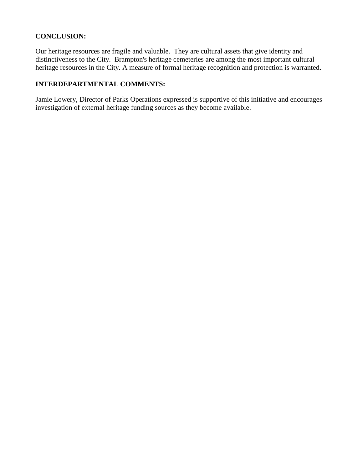### **CONCLUSION:**

Our heritage resources are fragile and valuable. They are cultural assets that give identity and distinctiveness to the City. Brampton's heritage cemeteries are among the most important cultural heritage resources in the City. A measure of formal heritage recognition and protection is warranted.

## **INTERDEPARTMENTAL COMMENTS:**

Jamie Lowery, Director of Parks Operations expressed is supportive of this initiative and encourages investigation of external heritage funding sources as they become available.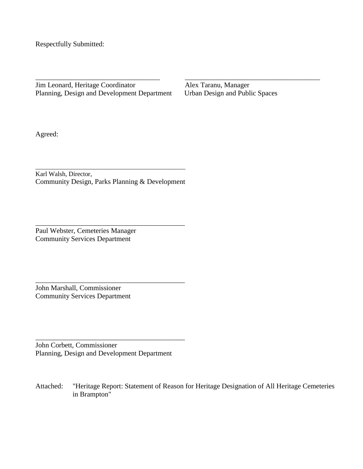Respectfully Submitted:

Jim Leonard, Heritage Coordinator Alex Taranu, Manager Planning, Design and Development Department Urban Design and Public Spaces

\_\_\_\_\_\_\_\_\_\_\_\_\_\_\_\_\_\_\_\_\_\_\_\_\_\_\_\_\_\_\_\_\_\_\_ \_\_\_\_\_\_\_\_\_\_\_\_\_\_\_\_\_\_\_\_\_\_\_\_\_\_\_\_\_\_\_\_\_\_\_\_\_\_

Agreed:

\_\_\_\_\_\_\_\_\_\_\_\_\_\_\_\_\_\_\_\_\_\_\_\_\_\_\_\_\_\_\_\_\_\_\_\_\_\_\_\_\_\_\_\_\_\_ Karl Walsh, Director, Community Design, Parks Planning & Development

\_\_\_\_\_\_\_\_\_\_\_\_\_\_\_\_\_\_\_\_\_\_\_\_\_\_\_\_\_\_\_\_\_\_\_\_\_\_\_\_\_\_

\_\_\_\_\_\_\_\_\_\_\_\_\_\_\_\_\_\_\_\_\_\_\_\_\_\_\_\_\_\_\_\_\_\_\_\_\_\_\_\_\_\_

Paul Webster, Cemeteries Manager Community Services Department

John Marshall, Commissioner Community Services Department

John Corbett, Commissioner Planning, Design and Development Department

\_\_\_\_\_\_\_\_\_\_\_\_\_\_\_\_\_\_\_\_\_\_\_\_\_\_\_\_\_\_\_\_\_\_\_\_\_\_\_\_\_\_

Attached: "Heritage Report: Statement of Reason for Heritage Designation of All Heritage Cemeteries in Brampton"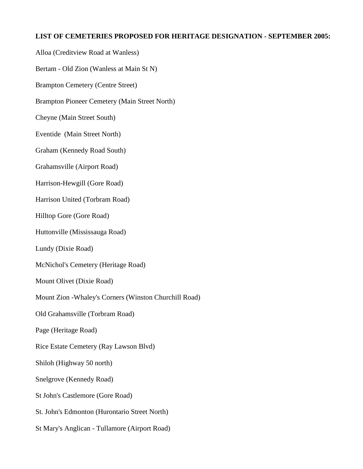### **LIST OF CEMETERIES PROPOSED FOR HERITAGE DESIGNATION - SEPTEMBER 2005:**

Alloa (Creditview Road at Wanless)

Bertam - Old Zion (Wanless at Main St N)

Brampton Cemetery (Centre Street)

Brampton Pioneer Cemetery (Main Street North)

Cheyne (Main Street South)

Eventide (Main Street North)

Graham (Kennedy Road South)

Grahamsville (Airport Road)

Harrison-Hewgill (Gore Road)

Harrison United (Torbram Road)

Hilltop Gore (Gore Road)

Huttonville (Mississauga Road)

Lundy (Dixie Road)

McNichol's Cemetery (Heritage Road)

Mount Olivet (Dixie Road)

Mount Zion -Whaley's Corners (Winston Churchill Road)

Old Grahamsville (Torbram Road)

Page (Heritage Road)

Rice Estate Cemetery (Ray Lawson Blvd)

Shiloh (Highway 50 north)

Snelgrove (Kennedy Road)

St John's Castlemore (Gore Road)

St. John's Edmonton (Hurontario Street North)

St Mary's Anglican - Tullamore (Airport Road)